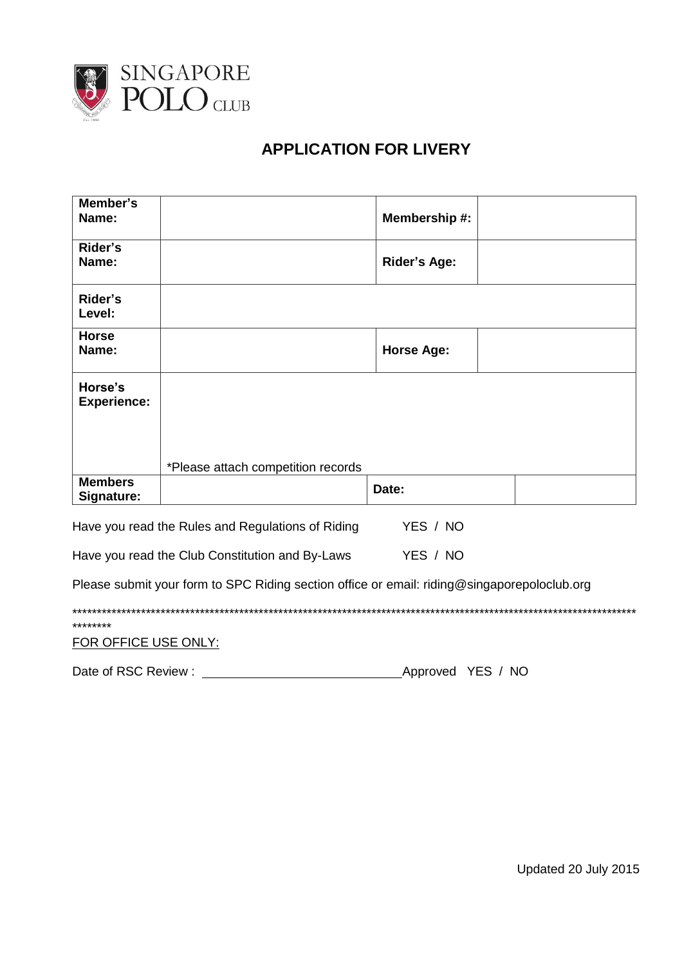

## **APPLICATION FOR LIVERY**

| Member's<br>Name:                                                                           |                                    | Membership #:       |  |  |  |
|---------------------------------------------------------------------------------------------|------------------------------------|---------------------|--|--|--|
| Rider's<br>Name:                                                                            |                                    | <b>Rider's Age:</b> |  |  |  |
| Rider's<br>Level:                                                                           |                                    |                     |  |  |  |
| <b>Horse</b><br>Name:                                                                       |                                    | <b>Horse Age:</b>   |  |  |  |
| Horse's<br><b>Experience:</b>                                                               |                                    |                     |  |  |  |
|                                                                                             | *Please attach competition records |                     |  |  |  |
| <b>Members</b><br>Signature:                                                                |                                    | Date:               |  |  |  |
| Have you read the Rules and Regulations of Riding                                           |                                    | YES / NO            |  |  |  |
| YES / NO<br>Have you read the Club Constitution and By-Laws                                 |                                    |                     |  |  |  |
| Please submit your form to SPC Riding section office or email: riding@singaporepoloclub.org |                                    |                     |  |  |  |

| ********             |
|----------------------|
| FOR OFFICE USE ONLY: |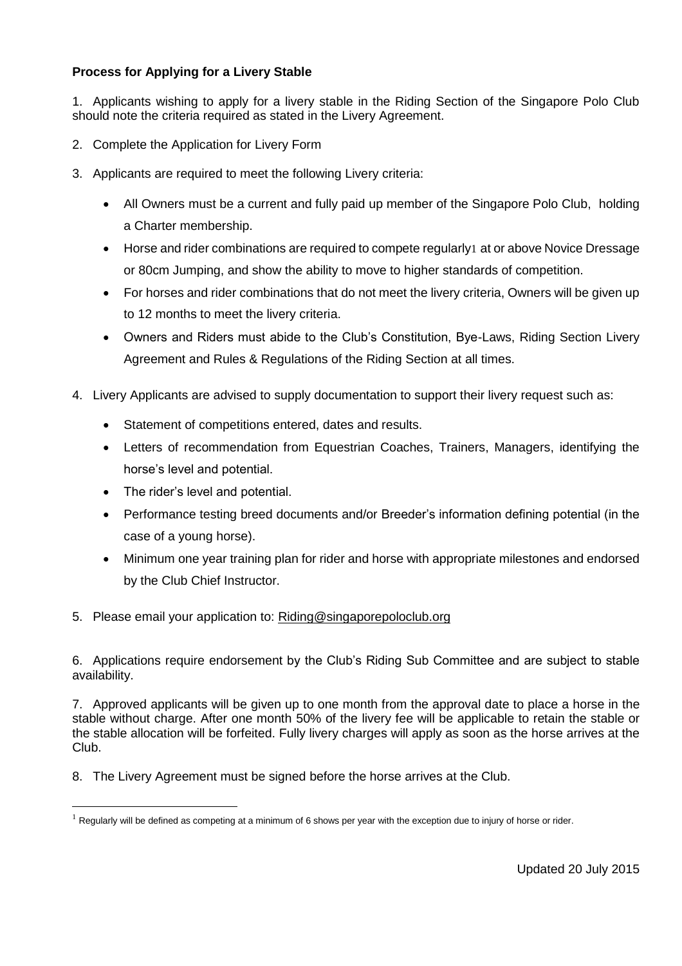## **Process for Applying for a Livery Stable**

1. Applicants wishing to apply for a livery stable in the Riding Section of the Singapore Polo Club should note the criteria required as stated in the Livery Agreement.

- 2. Complete the Application for Livery Form
- 3. Applicants are required to meet the following Livery criteria:
	- All Owners must be a current and fully paid up member of the Singapore Polo Club, holding a Charter membership.
	- Horse and rider combinations are required to compete regularly1 at or above Novice Dressage or 80cm Jumping, and show the ability to move to higher standards of competition.
	- For horses and rider combinations that do not meet the livery criteria, Owners will be given up to 12 months to meet the livery criteria.
	- Owners and Riders must abide to the Club's Constitution, Bye-Laws, Riding Section Livery Agreement and Rules & Regulations of the Riding Section at all times.
- 4. Livery Applicants are advised to supply documentation to support their livery request such as:
	- Statement of competitions entered, dates and results.
	- Letters of recommendation from Equestrian Coaches, Trainers, Managers, identifying the horse's level and potential.
	- The rider's level and potential.

 $\overline{a}$ 

- Performance testing breed documents and/or Breeder's information defining potential (in the case of a young horse).
- Minimum one year training plan for rider and horse with appropriate milestones and endorsed by the Club Chief Instructor.

## 5. Please email your application to: [Riding@singaporepoloclub.org](mailto:Riding@singaporepoloclub.org)

6. Applications require endorsement by the Club's Riding Sub Committee and are subject to stable availability.

7. Approved applicants will be given up to one month from the approval date to place a horse in the stable without charge. After one month 50% of the livery fee will be applicable to retain the stable or the stable allocation will be forfeited. Fully livery charges will apply as soon as the horse arrives at the Club.

8. The Livery Agreement must be signed before the horse arrives at the Club.

 $1$  Regularly will be defined as competing at a minimum of 6 shows per year with the exception due to injury of horse or rider.